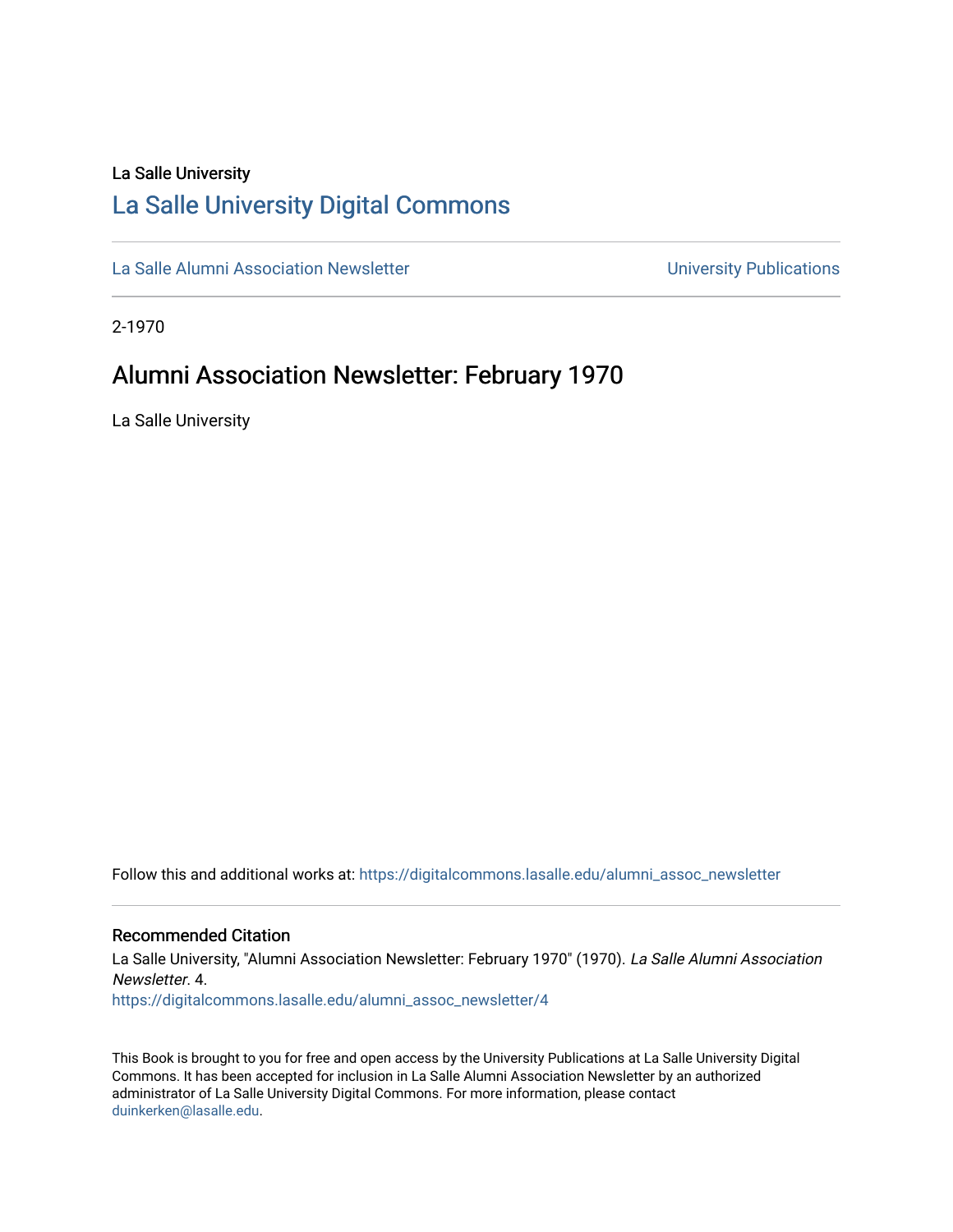# La Salle University

# [La Salle University Digital Commons](https://digitalcommons.lasalle.edu/)

[La Salle Alumni Association Newsletter](https://digitalcommons.lasalle.edu/alumni_assoc_newsletter) **Newsletter** University Publications

2-1970

# Alumni Association Newsletter: February 1970

La Salle University

Follow this and additional works at: [https://digitalcommons.lasalle.edu/alumni\\_assoc\\_newsletter](https://digitalcommons.lasalle.edu/alumni_assoc_newsletter?utm_source=digitalcommons.lasalle.edu%2Falumni_assoc_newsletter%2F4&utm_medium=PDF&utm_campaign=PDFCoverPages) 

### Recommended Citation

La Salle University, "Alumni Association Newsletter: February 1970" (1970). La Salle Alumni Association Newsletter. 4.

[https://digitalcommons.lasalle.edu/alumni\\_assoc\\_newsletter/4](https://digitalcommons.lasalle.edu/alumni_assoc_newsletter/4?utm_source=digitalcommons.lasalle.edu%2Falumni_assoc_newsletter%2F4&utm_medium=PDF&utm_campaign=PDFCoverPages) 

This Book is brought to you for free and open access by the University Publications at La Salle University Digital Commons. It has been accepted for inclusion in La Salle Alumni Association Newsletter by an authorized administrator of La Salle University Digital Commons. For more information, please contact [duinkerken@lasalle.edu.](mailto:duinkerken@lasalle.edu)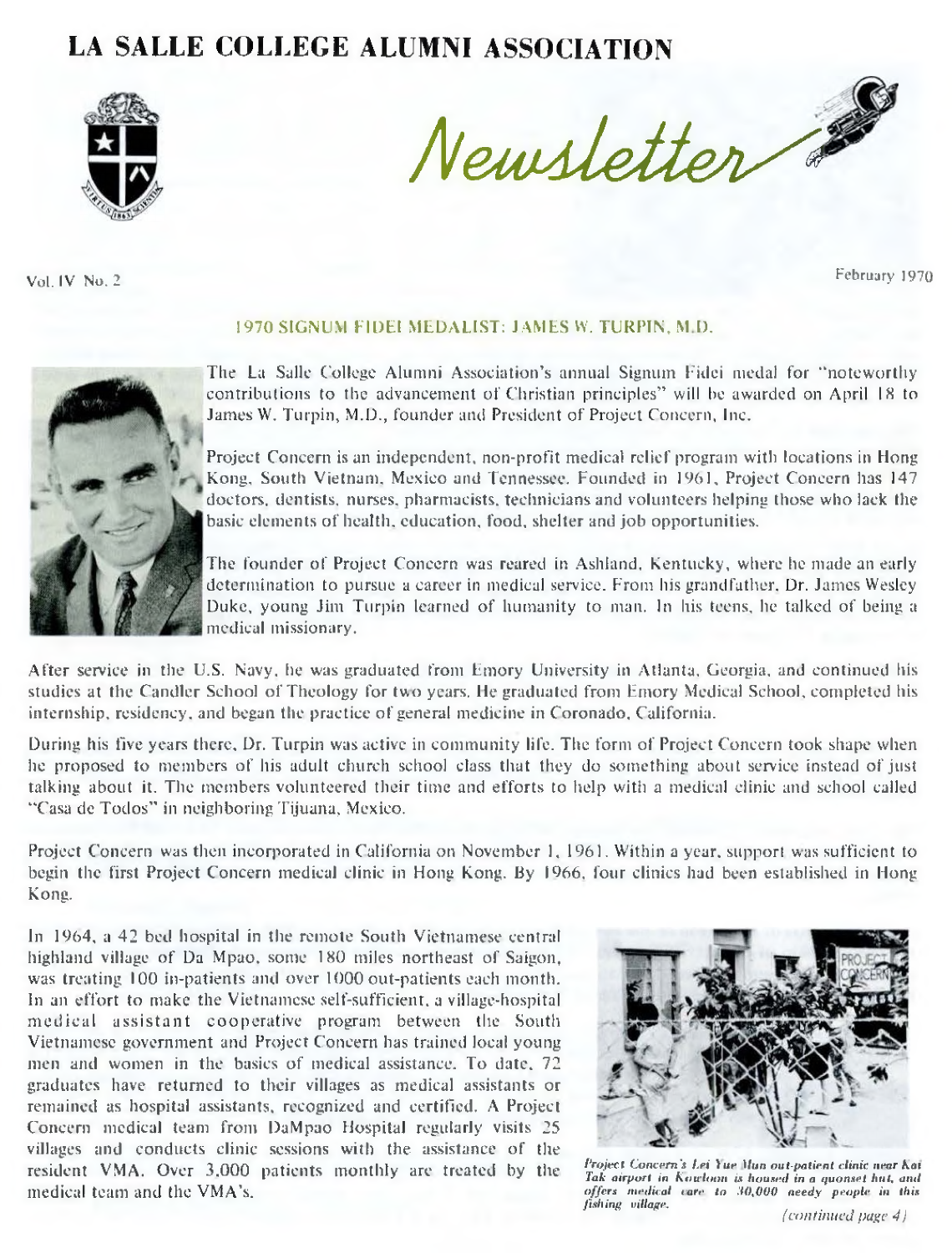# **LA SALLE COLLEGE ALUMNI ASSOCIATION**



**Vol. IV No. 2 February 1970**

*N e w s le tte r*

#### 1970 SIGNUM FIDEI MEDALIST: JAMES W. TURPIN. M D.



The La Salle College Alumni Association's annual Signum Fidei medal for "noteworthy contributions to the advancement of Christian principles" will be awarded on April IS to James W. Turpin, M.D., founder and President of Project Concern, Inc.

Project Concern is an independent, non-profit medical relief program with locations in Hong Kong, South Vietnam. Mexico and Tennessee. Founded in 1961, Project Concern has 147 doctors, dentists, nurses, pharmacists, technicians and volunteers helping those who lack the basic elements of health, education, food, shelter and job opportunities.

The founder of Project Concern was reared in Ashland, Kentucky, where he made an early determination to pursue a career in medical service. From his grandfather. Dr. James Wesley Duke, young Jim Turpin learned of humanity to man. In his teens, he talked of being a medical missionary.

After service in the U.S. Navy, he was graduated from Emory University in Atlanta. Georgia, and continued his studies at the Candler School of Theology for two years. He graduated from Emory Medical School, completed his internship, residency, and began the practice of general medicine in Coronado. California.

During his five years there, Dr. Turpin was active in community life. The form of Project Concern took shape when he proposed to members of his adult church school class that they do something about service instead of just talking about it. The members volunteered their time and efforts to help with a medical clinic and school called "Casa de Todos" in neighboring Tijuana, Mexico.

Project Concern was then incorporated in California on November 1, 1961. Within a year, support was sufficient to begin the first Project Concern medical clinic in Hong Kong. By 1966. four clinics had been established in Hong Kong.

In 1964, a 42 bed hospital in the remote South Vietnamese central highland village of Da Mpao, some 180 miles northeast of Saigon, was treating 100 in-patients and over 1000 out-patients each month. In an effort to make the Vietnamese self-sufficient, a village-hospital medical assistant cooperative program between the South Vietnamese government and Project Concern has trained local young men and women in the basics of medical assistance. To date. 72 graduates have returned to their villages as medical assistants or remained as hospital assistants, recognized and certified. A Project Concern medical team from DaMpao Hospital regularly visits 25 villages and conducts clinic sessions with the assistance of the resident VMA. Over 3.000 patients monthly are treated by the medical team and the VMA's.



*Project Concern's l.ei Yue Mun out-patient clink near Kai Tak airport in K o wloon is housed in a quonset hut, and offers medical care to 30,000 needy people in this fishing village, (continued page 4)*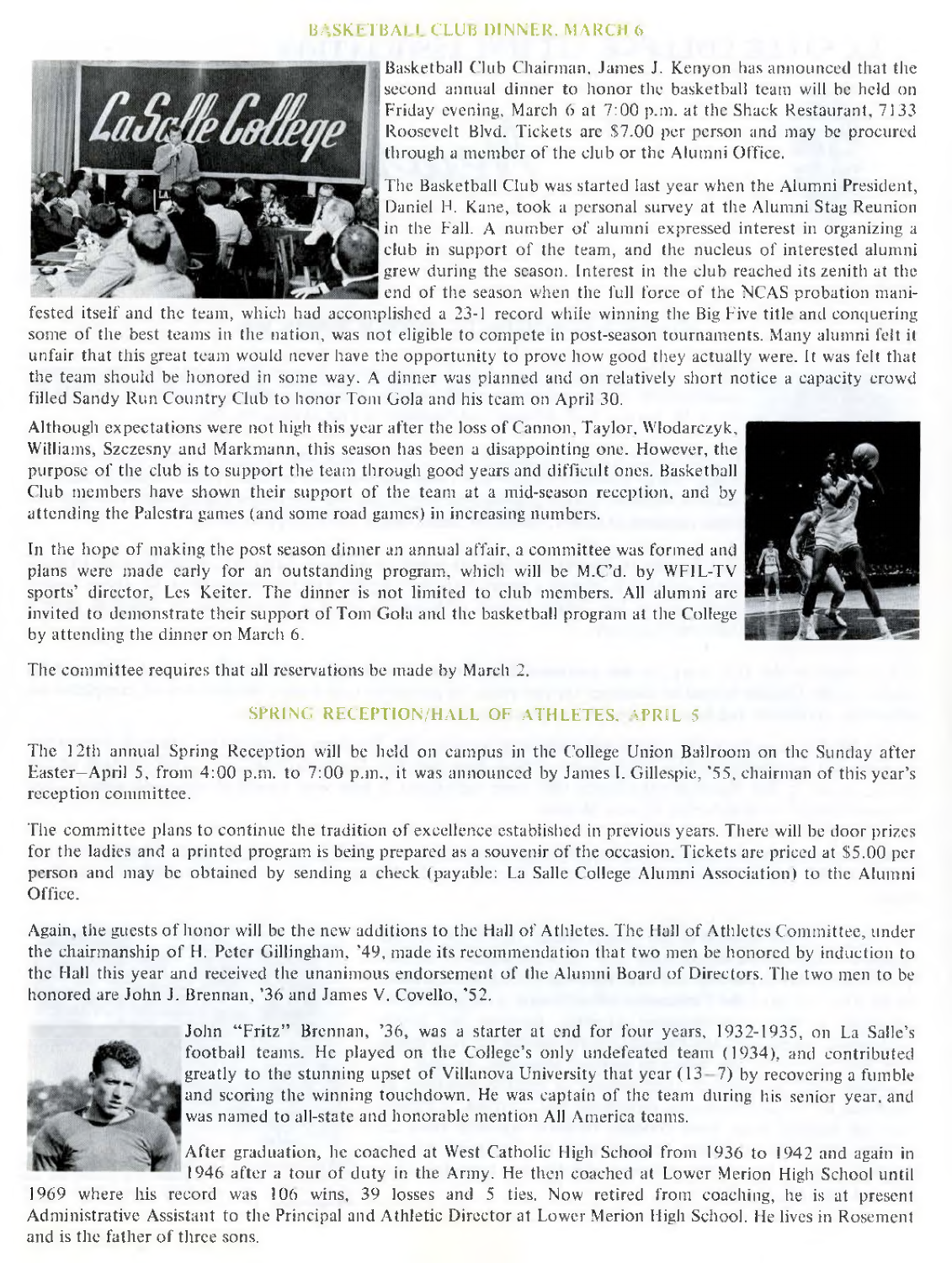#### BASKETBALL CLUB DINNER. MARCH 6



Basketball Club Chairman, Janies J. Kenyon has announced that the second annual dinner to honor the basketball team will be held on Friday evening. March 6 at 7:00 p.m. at the Shack Restaurant, 7133 Roosevelt Blvd. Tickets arc S7.00 per person and may be procured through a member of the club or the Alumni Office.

The Basketball Club was started last year when the Alumni President, Daniel H. Kane, took a personal survey at the Alumni Stag Reunion in the Fall. A number of alumni expressed interest in organizing a club in support of the team, and the nucleus of interested alumni grew during the season. Interest in the club reached its zenith at the end of the season when the full force of the NCAS probation mani-

fested itself and the team, which had accomplished a 23-1 record while winning the Big Five title and conquering some of the best teams in the nation, was not eligible to compete in post-season tournaments. Many alumni felt it unfair that this great team would never have the opportunity to prove how good they actually were. It was felt that the team should be honored in some way. A dinner was planned and on relatively short notice a capacity crowd filled Sandy Run Country Club to honor Tom Gola and his team on April 30.

Although expectations were not high this year after the loss of Cannon, Taylor, Wlodarezyk, Williams, Szczesny and Markmann, this season has been a disappointing one. However, the purpose of the club is to support the team through good years and difficult ones. Basketball Club members have shown their support of the team at a mid-season reception, and by attending the Palestra games (and some road games) in increasing numbers.



In the hope of making the post season dinner an annual affair, a committee was formed and plans were made early for an outstanding program, which will be M.C'd. by WFIL-TV sports' director, Les Keiter. The dinner is not limited to club members. All alumni are invited to demonstrate their support of Tom Gola and the basketball program at the College by attending the dinner on March 6.

The committee requires that all reservations be made by March 2.

# SPRING RECEPTION/HALL OF ATHLETES, APRIL 5

The 12th annual Spring Reception will be held on campus in the College Union Ballroom on the Sunday after Easter—April 5, from 4:00 p.m. to 7:00 p.m., it was announced by James I. Gillespie, '55, chairman of this year's reception committee.

The committee plans to continue the tradition of excellence established in previous years. There will be door prizes for the ladies and a printed program is being prepared as a souvenir of the occasion. Tickets are priced at \$5.00 per person and may be obtained by sending a check (payable: La Salle College Alumni Association) to the Alumni Office.

Again, the guests of honor will be the new additions to the Hall of Athletes. The Hall of Athletes Committee, under the chairmanship of H. Peter Gillingham, '49, made its recommendation that two men be honored by induction to the Hall this year and received the unanimous endorsement of the Alumni Board of Directors. The two men to be honored are John J. Brennan, '36 and James V. Covello, '52.



John "Fritz" Brennan, '36, was a starter at end for four years, 1932-1935, on La Salle's football teams. He played on the College's only undefeated team (1934), and contributed greatly to the stunning upset of Villanova University that year (13- 7) by recovering a fumble and scoring the winning touchdown. He was captain of the team during his senior year, and was named to all-state and honorable mention All America teams.

After graduation, he coached at West Catholic High School from 1936 to 1942 and again in 1946 after a tour of duty in the Army. He then coached at Lower Merion High School until

1969 where his record was 106 wins, 39 losses and 5 ties. Now retired from coaching, he is at present Administrative Assistant to the Principal and Athletic Director at Lower Merion High School. He lives in Rosement and is the father of three sons.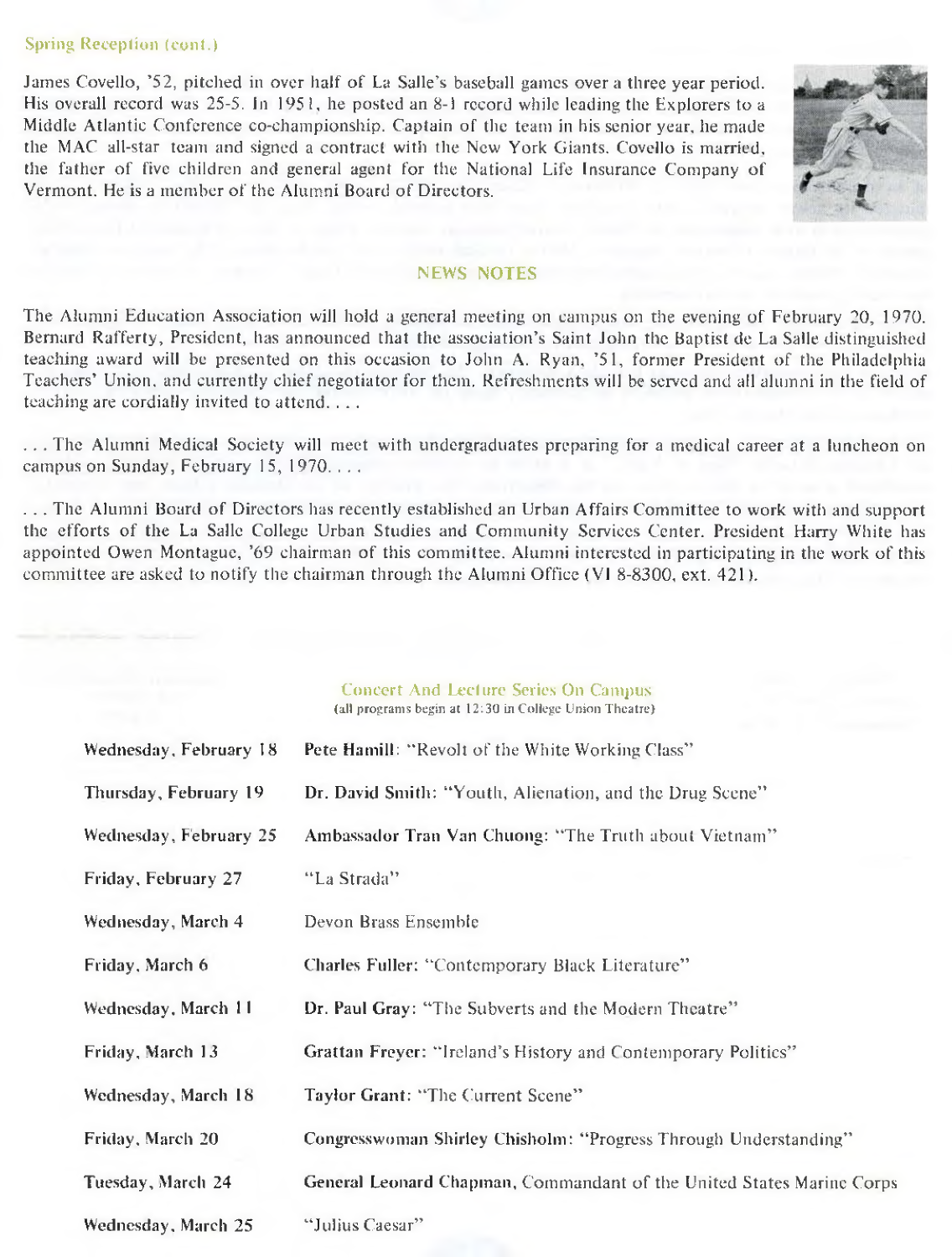## Spring Reception (cont.)

James Covello, '52, pitched in over half of La Salle's baseball games over a three year period. His overall record was 25-5. In 1951, he posted an 8-1 record while leading the Explorers to a Middle Atlantic Conference co-championship. Captain of the team in his senior year, he made the MAC all-star team and signed a contract with the New York Giants. Covello is married, the father of five children and general agent for the National Life Insurance Company of Vermont. He is a member of the Alumni Board of Directors.



#### NEWS NOTES

The Alumni Education Association will hold a general meeting on campus on the evening of February 20, 1970. Bernard Rafferty, President, has announced that the association's Saint John the Baptist de La Salle distinguished teaching award will be presented on this occasion to John A. Ryan, '51, former President of the Philadelphia Teachers' Union, and currently chief negotiator for them. Refreshments will be served and all alumni in the field of teaching are cordially invited to attend. . . .

. . . The Alumni Medical Society will meet with undergraduates preparing for a medical career at a luncheon on campus on Sunday, February 15, 1970. . . .

. . . The Alumni Board of Directors has recently established an Urban Affairs Committee to work with and support the efforts of the La Salle College Urban Studies and Community Services Center. President Harry White has appointed Owen Montague, '69 chairman of this committee. Alumni interested in participating in the work of this committee are asked to notify the chairman through the Alumni Office (VI 8-8300, ext. 421).

#### Concert And Lecture Series On Campus (all programs begin at 12:30 in College Union Theatre)

| Wednesday, February 18 | Pete Hamill: "Revolt of the White Working Class"                      |
|------------------------|-----------------------------------------------------------------------|
| Thursday, February 19  | Dr. David Smith: "Youth, Alienation, and the Drug Scene"              |
| Wednesday, February 25 | Ambassador Tran Van Chuong: "The Truth about Vietnam"                 |
| Friday, February 27    | "La Strada"                                                           |
| Wednesday, March 4     | Devon Brass Ensemble                                                  |
| Friday, March 6        | Charles Fuller: "Contemporary Black Literature"                       |
| Wednesday, March 11    | Dr. Paul Gray: "The Subverts and the Modern Theatre"                  |
| Friday, March 13       | Grattan Freyer: "Ireland's History and Contemporary Politics"         |
| Wednesday, March 18    | Taylor Grant: "The Current Scene"                                     |
| Friday, March 20       | Congresswoman Shirley Chisholm: "Progress Through Understanding"      |
| Tuesday, March 24      | General Leonard Chapman, Commandant of the United States Marine Corps |
| Wednesday, March 25    | "Julius Caesar"                                                       |